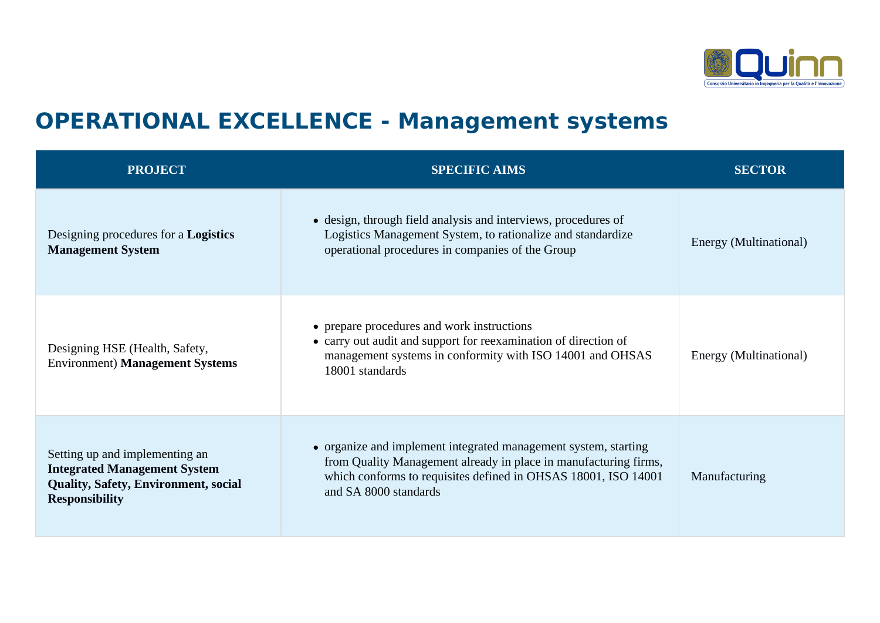

## **OPERATIONAL EXCELLENCE - Management systems**

| <b>PROJECT</b>                                                                                                                                | <b>SPECIFIC AIMS</b>                                                                                                                                                                                                           | <b>SECTOR</b>          |
|-----------------------------------------------------------------------------------------------------------------------------------------------|--------------------------------------------------------------------------------------------------------------------------------------------------------------------------------------------------------------------------------|------------------------|
| Designing procedures for a <b>Logistics</b><br><b>Management System</b>                                                                       | • design, through field analysis and interviews, procedures of<br>Logistics Management System, to rationalize and standardize<br>operational procedures in companies of the Group                                              | Energy (Multinational) |
| Designing HSE (Health, Safety,<br><b>Environment) Management Systems</b>                                                                      | • prepare procedures and work instructions<br>• carry out audit and support for reexamination of direction of<br>management systems in conformity with ISO 14001 and OHSAS<br>18001 standards                                  | Energy (Multinational) |
| Setting up and implementing an<br><b>Integrated Management System</b><br><b>Quality, Safety, Environment, social</b><br><b>Responsibility</b> | • organize and implement integrated management system, starting<br>from Quality Management already in place in manufacturing firms,<br>which conforms to requisites defined in OHSAS 18001, ISO 14001<br>and SA 8000 standards | Manufacturing          |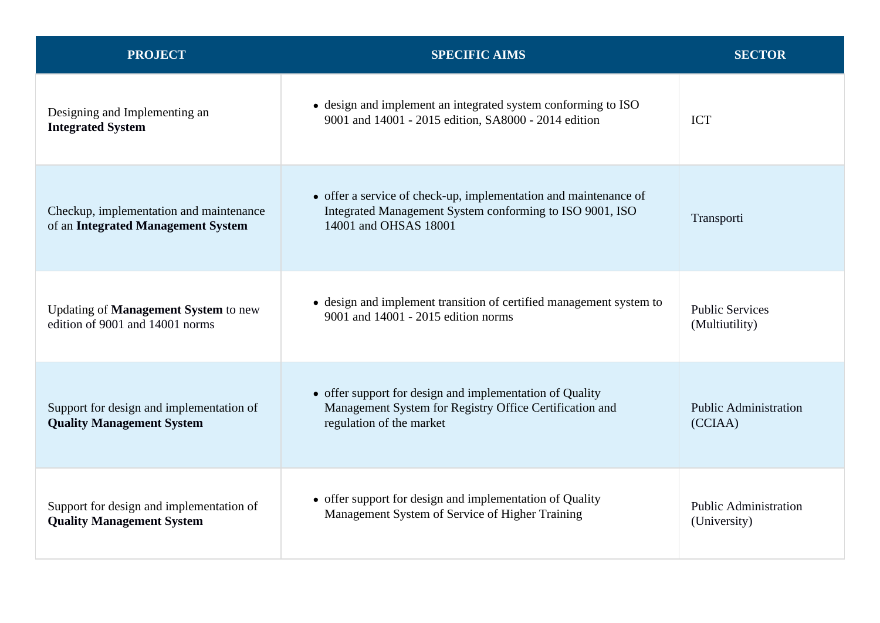| <b>PROJECT</b>                                                                | <b>SPECIFIC AIMS</b>                                                                                                                                  | <b>SECTOR</b>                                |
|-------------------------------------------------------------------------------|-------------------------------------------------------------------------------------------------------------------------------------------------------|----------------------------------------------|
| Designing and Implementing an<br><b>Integrated System</b>                     | • design and implement an integrated system conforming to ISO<br>9001 and 14001 - 2015 edition, SA8000 - 2014 edition                                 | <b>ICT</b>                                   |
| Checkup, implementation and maintenance<br>of an Integrated Management System | • offer a service of check-up, implementation and maintenance of<br>Integrated Management System conforming to ISO 9001, ISO<br>14001 and OHSAS 18001 | Transporti                                   |
| Updating of Management System to new<br>edition of 9001 and 14001 norms       | • design and implement transition of certified management system to<br>9001 and 14001 - 2015 edition norms                                            | <b>Public Services</b><br>(Multiutility)     |
| Support for design and implementation of<br><b>Quality Management System</b>  | • offer support for design and implementation of Quality<br>Management System for Registry Office Certification and<br>regulation of the market       | <b>Public Administration</b><br>(CCIAA)      |
| Support for design and implementation of<br><b>Quality Management System</b>  | • offer support for design and implementation of Quality<br>Management System of Service of Higher Training                                           | <b>Public Administration</b><br>(University) |